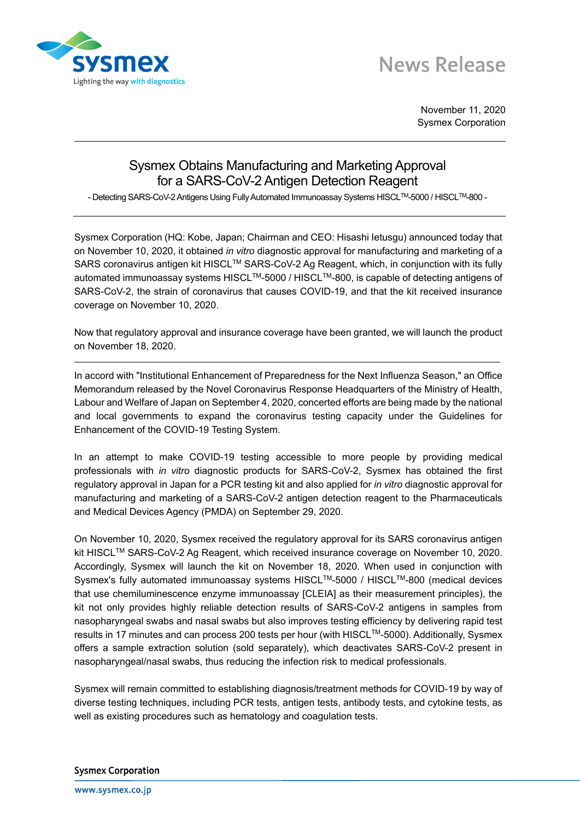

## **News Release**

November 11, 2020 Sysmex Corporation

## Sysmex Obtains Manufacturing and Marketing Approval for a SARS-CoV-2 Antigen Detection Reagent

- Detecting SARS-CoV-2 Antigens Using Fully Automated Immunoassay Systems HISCL™-5000 / HISCL™-800 -

Sysmex Corporation (HQ: Kobe, Japan; Chairman and CEO: Hisashi Ietusgu) announced today that on November 10, 2020, it obtained *in vitro* diagnostic approval for manufacturing and marketing of a SARS coronavirus antigen kit HISCL™ SARS-CoV-2 Ag Reagent, which, in conjunction with its fully automated immunoassay systems HISCL™-5000 / HISCL<sup>™-800</sup>, is capable of detecting antigens of SARS-CoV-2, the strain of coronavirus that causes COVID-19, and that the kit received insurance coverage on November 10, 2020.

Now that regulatory approval and insurance coverage have been granted, we will launch the product on November 18, 2020.

In accord with "Institutional Enhancement of Preparedness for the Next Influenza Season," an Office Memorandum released by the Novel Coronavirus Response Headquarters of the Ministry of Health, Labour and Welfare of Japan on September 4, 2020, concerted efforts are being made by the national and local governments to expand the coronavirus testing capacity under the Guidelines for Enhancement of the COVID-19 Testing System.

In an attempt to make COVID-19 testing accessible to more people by providing medical professionals with *in vitro* diagnostic products for SARS-CoV-2, Sysmex has obtained the first regulatory approval in Japan for a PCR testing kit and also applied for *in vitro* diagnostic approval for manufacturing and marketing of a SARS-CoV-2 antigen detection reagent to the Pharmaceuticals and Medical Devices Agency (PMDA) on September 29, 2020.

On November 10, 2020, Sysmex received the regulatory approval for its SARS coronavirus antigen kit HISCLTM SARS-CoV-2 Ag Reagent, which received insurance coverage on November 10, 2020. Accordingly, Sysmex will launch the kit on November 18, 2020. When used in conjunction with Sysmex's fully automated immunoassay systems HISCL™-5000 / HISCL™-800 (medical devices that use chemiluminescence enzyme immunoassay [CLEIA] as their measurement principles), the kit not only provides highly reliable detection results of SARS-CoV-2 antigens in samples from nasopharyngeal swabs and nasal swabs but also improves testing efficiency by delivering rapid test results in 17 minutes and can process 200 tests per hour (with HISCL™-5000). Additionally, Sysmex offers a sample extraction solution (sold separately), which deactivates SARS-CoV-2 present in nasopharyngeal/nasal swabs, thus reducing the infection risk to medical professionals.

Sysmex will remain committed to establishing diagnosis/treatment methods for COVID-19 by way of diverse testing techniques, including PCR tests, antigen tests, antibody tests, and cytokine tests, as well as existing procedures such as hematology and coagulation tests.

**Sysmex Corporation**